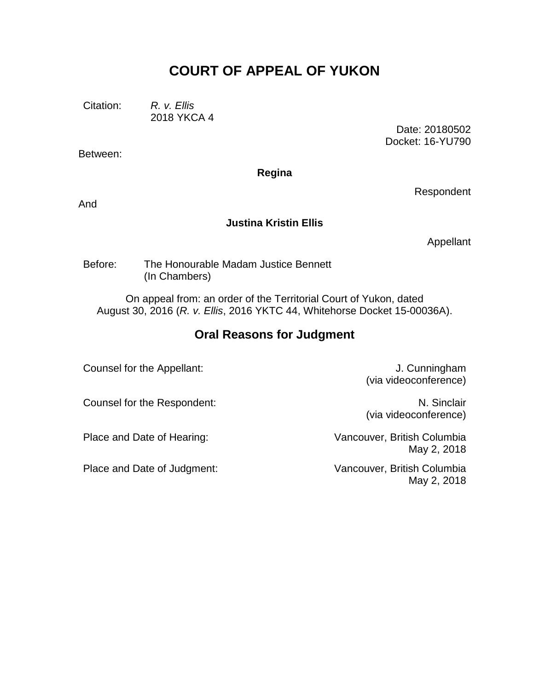## **COURT OF APPEAL OF YUKON**

Citation: *R. v. Ellis*

2018 YKCA 4

Between:

Date: 20180502 Docket: 16-YU790

**Regina**

And

## **Justina Kristin Ellis**

Appellant

Respondent

Before: The Honourable Madam Justice Bennett (In Chambers)

On appeal from: an order of the Territorial Court of Yukon, dated August 30, 2016 (*R. v. Ellis*, 2016 YKTC 44, Whitehorse Docket 15-00036A).

## **Oral Reasons for Judgment**

Counsel for the Appellant: Counsel for the Appellant: J. Cunningham

(via videoconference)

Counsel for the Respondent: N. Sinclair

Place and Date of Judgment: Vancouver, British Columbia

(via videoconference)

Place and Date of Hearing: Vancouver, British Columbia May 2, 2018

May 2, 2018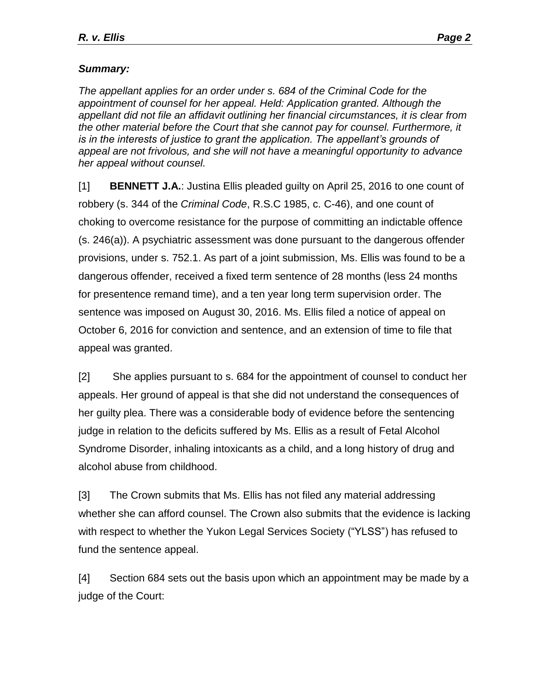## *Summary:*

*The appellant applies for an order under s. 684 of the Criminal Code for the appointment of counsel for her appeal. Held: Application granted. Although the appellant did not file an affidavit outlining her financial circumstances, it is clear from the other material before the Court that she cannot pay for counsel. Furthermore, it*  is in the interests of justice to grant the application. The appellant's grounds of *appeal are not frivolous, and she will not have a meaningful opportunity to advance her appeal without counsel.* 

[1] **BENNETT J.A.**: Justina Ellis pleaded guilty on April 25, 2016 to one count of robbery (s. 344 of the *Criminal Code*, R.S.C 1985, c. C-46), and one count of choking to overcome resistance for the purpose of committing an indictable offence (s. 246(a)). A psychiatric assessment was done pursuant to the dangerous offender provisions, under s. 752.1. As part of a joint submission, Ms. Ellis was found to be a dangerous offender, received a fixed term sentence of 28 months (less 24 months for presentence remand time), and a ten year long term supervision order. The sentence was imposed on August 30, 2016. Ms. Ellis filed a notice of appeal on October 6, 2016 for conviction and sentence, and an extension of time to file that appeal was granted.

[2] She applies pursuant to s. 684 for the appointment of counsel to conduct her appeals. Her ground of appeal is that she did not understand the consequences of her guilty plea. There was a considerable body of evidence before the sentencing judge in relation to the deficits suffered by Ms. Ellis as a result of Fetal Alcohol Syndrome Disorder, inhaling intoxicants as a child, and a long history of drug and alcohol abuse from childhood.

[3] The Crown submits that Ms. Ellis has not filed any material addressing whether she can afford counsel. The Crown also submits that the evidence is lacking with respect to whether the Yukon Legal Services Society ("YLSS") has refused to fund the sentence appeal.

[4] Section 684 sets out the basis upon which an appointment may be made by a judge of the Court: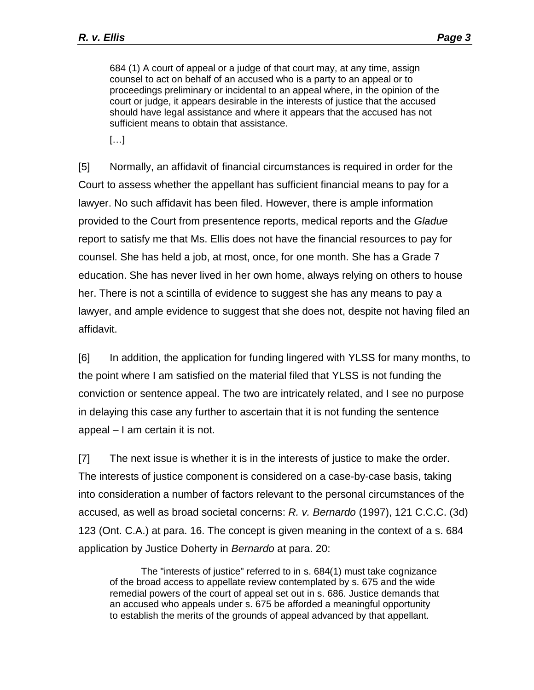684 (1) A court of appeal or a judge of that court may, at any time, assign counsel to act on behalf of an accused who is a party to an appeal or to proceedings preliminary or incidental to an appeal where, in the opinion of the court or judge, it appears desirable in the interests of justice that the accused should have legal assistance and where it appears that the accused has not sufficient means to obtain that assistance.

[…]

[5] Normally, an affidavit of financial circumstances is required in order for the Court to assess whether the appellant has sufficient financial means to pay for a lawyer. No such affidavit has been filed. However, there is ample information provided to the Court from presentence reports, medical reports and the *Gladue* report to satisfy me that Ms. Ellis does not have the financial resources to pay for counsel. She has held a job, at most, once, for one month. She has a Grade 7 education. She has never lived in her own home, always relying on others to house her. There is not a scintilla of evidence to suggest she has any means to pay a lawyer, and ample evidence to suggest that she does not, despite not having filed an affidavit.

[6] In addition, the application for funding lingered with YLSS for many months, to the point where I am satisfied on the material filed that YLSS is not funding the conviction or sentence appeal. The two are intricately related, and I see no purpose in delaying this case any further to ascertain that it is not funding the sentence appeal – I am certain it is not.

[7] The next issue is whether it is in the interests of justice to make the order. The interests of justice component is considered on a case-by-case basis, taking into consideration a number of factors relevant to the personal circumstances of the accused, as well as broad societal concerns: *R. v. Bernardo* (1997), 121 C.C.C. (3d) 123 (Ont. C.A.) at para. 16. The concept is given meaning in the context of a s. 684 application by Justice Doherty in *Bernardo* at para. 20:

The "interests of justice" referred to in s. 684(1) must take cognizance of the broad access to appellate review contemplated by s. 675 and the wide remedial powers of the court of appeal set out in s. 686. Justice demands that an accused who appeals under s. 675 be afforded a meaningful opportunity to establish the merits of the grounds of appeal advanced by that appellant.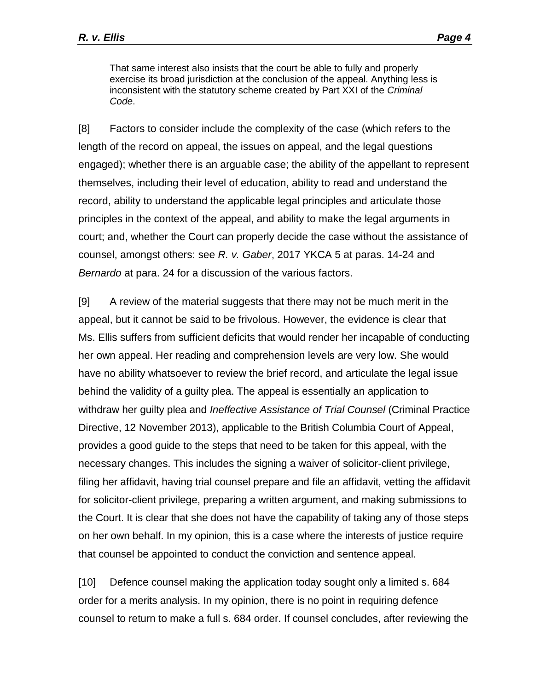That same interest also insists that the court be able to fully and properly exercise its broad jurisdiction at the conclusion of the appeal. Anything less is inconsistent with the statutory scheme created by Part XXI of the *Criminal Code*.

[8] Factors to consider include the complexity of the case (which refers to the length of the record on appeal, the issues on appeal, and the legal questions engaged); whether there is an arguable case; the ability of the appellant to represent themselves, including their level of education, ability to read and understand the record, ability to understand the applicable legal principles and articulate those principles in the context of the appeal, and ability to make the legal arguments in court; and, whether the Court can properly decide the case without the assistance of counsel, amongst others: see *R. v. Gaber*, 2017 YKCA 5 at paras. 14-24 and *Bernardo* at para. 24 for a discussion of the various factors.

[9] A review of the material suggests that there may not be much merit in the appeal, but it cannot be said to be frivolous. However, the evidence is clear that Ms. Ellis suffers from sufficient deficits that would render her incapable of conducting her own appeal. Her reading and comprehension levels are very low. She would have no ability whatsoever to review the brief record, and articulate the legal issue behind the validity of a guilty plea. The appeal is essentially an application to withdraw her guilty plea and *Ineffective Assistance of Trial Counsel* (Criminal Practice Directive, 12 November 2013), applicable to the British Columbia Court of Appeal, provides a good guide to the steps that need to be taken for this appeal, with the necessary changes. This includes the signing a waiver of solicitor-client privilege, filing her affidavit, having trial counsel prepare and file an affidavit, vetting the affidavit for solicitor-client privilege, preparing a written argument, and making submissions to the Court. It is clear that she does not have the capability of taking any of those steps on her own behalf. In my opinion, this is a case where the interests of justice require that counsel be appointed to conduct the conviction and sentence appeal.

[10] Defence counsel making the application today sought only a limited s. 684 order for a merits analysis. In my opinion, there is no point in requiring defence counsel to return to make a full s. 684 order. If counsel concludes, after reviewing the